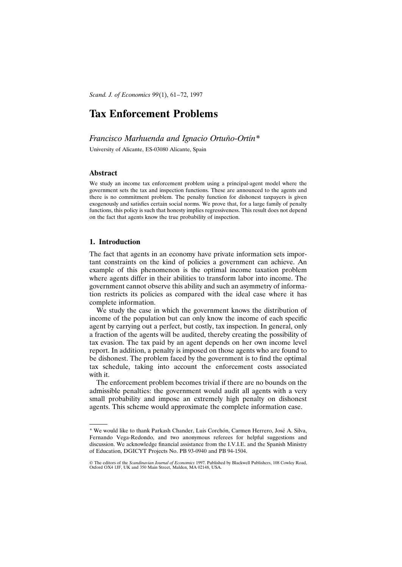*Scand. J. of Economics 99*(1), 61–72, 1997

# **Tax Enforcement Problems**

# *Francisco Marhuenda and Ignacio Ortuño-Ortín\**

University of Alicante, ES-03080 Alicante, Spain

#### **Abstract**

We study an income tax enforcement problem using a principal-agent model where the government sets the tax and inspection functions. These are announced to the agents and there is no commitment problem. The penalty function for dishonest taxpayers is given exogenously and satisfies certain social norms. We prove that, for a large family of penalty functions, this policy is such that honesty implies regressiveness. This result does not depend on the fact that agents know the true probability of inspection.

#### **1. Introduction**

The fact that agents in an economy have private information sets important constraints on the kind of policies a government can achieve. An example of this phenomenon is the optimal income taxation problem where agents differ in their abilities to transform labor into income. The government cannot observe this ability and such an asymmetry of information restricts its policies as compared with the ideal case where it has complete information.

We study the case in which the government knows the distribution of income of the population but can only know the income of each specific agent by carrying out a perfect, but costly, tax inspection. In general, only a fraction of the agents will be audited, thereby creating the possibility of tax evasion. The tax paid by an agent depends on her own income level report. In addition, a penalty is imposed on those agents who are found to be dishonest. The problem faced by the government is to find the optimal tax schedule, taking into account the enforcement costs associated with it.

The enforcement problem becomes trivial if there are no bounds on the admissible penalties: the government would audit all agents with a very small probability and impose an extremely high penalty on dishonest agents. This scheme would approximate the complete information case.

<sup>\*</sup> We would like to thank Parkash Chander, Luis Corchón, Carmen Herrero, José A. Silva, Fernando Vega-Redondo, and two anonymous referees for helpful suggestions and discussion. We acknowledge financial assistance from the I.V.I.E. and the Spanish Ministry of Education, DGICYT Projects No. PB 93-0940 and PB 94-1504.

<sup>©</sup> The editors of the *Scandinavian Journal of Economics* 1997. Published by Blackwell Publishers, 108 Cowley Road,<br>Oxford OX4 1JF, UK and 350 Main Street, Malden, MA 02148, USA.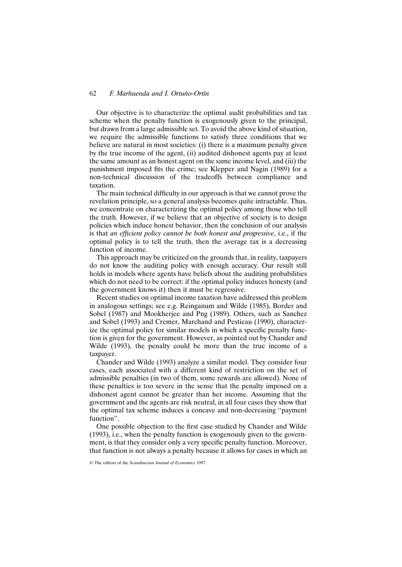Our objective is to characterize the optimal audit probabilities and tax scheme when the penalty function is exogenously given to the principal, but drawn from a large admissible set. To avoid the above kind of situation, we require the admissible functions to satisfy three conditions that we believe are natural in most societies: (i) there is a maximum penalty given by the true income of the agent, (ii) audited dishonest agents pay at least the same amount as an honest agent on the same income level, and (iii) the punishment imposed fits the crime; see Klepper and Nagin (1989) for a non-technical discussion of the tradeoffs between compliance and taxation.

The main technical difficulty in our approach is that we cannot prove the revelation principle, so a general analysis becomes quite intractable. Thus, we concentrate on characterizing the optimal policy among those who tell the truth. However, if we believe that an objective of society is to design policies which induce honest behavior, then the conclusion of our analysis is that *an efficient policy cannot be both honest and progressive*, i.e., if the optimal policy is to tell the truth, then the average tax is a decreasing function of income.

This approach may be criticized on the grounds that, in reality, taxpayers do not know the auditing policy with enough accuracy. Our result still holds in models where agents have beliefs about the auditing probabilities which do not need to be correct: if the optimal policy induces honesty (and the government knows it) then it must be regressive.

Recent studies on optimal income taxation have addressed this problem in analogous settings; see e.g. Reinganum and Wilde (1985), Border and Sobel (1987) and Mookherjee and Png (1989). Others, such as Sanchez and Sobel (1993) and Cremer, Marchand and Pestieau (1990), characterize the optimal policy for similar models in which a specific penalty function is given for the government. However, as pointed out by Chander and Wilde (1993), the penalty could be more than the true income of a taxpayer.

Chander and Wilde (1993) analyze a similar model. They consider four cases, each associated with a different kind of restriction on the set of admissible penalties (in two of them, some rewards are allowed). None of these penalties is too severe in the sense that the penalty imposed on a dishonest agent cannot be greater than her income. Assuming that the government and the agents are risk neutral, in all four cases they show that the optimal tax scheme induces a concave and non-decreasing ''payment function''.

One possible objection to the first case studied by Chander and Wilde (1993), i.e., when the penalty function is exogenously given to the government, is that they consider only a very specific penalty function. Moreover, that function is not always a penalty because it allows for cases in which an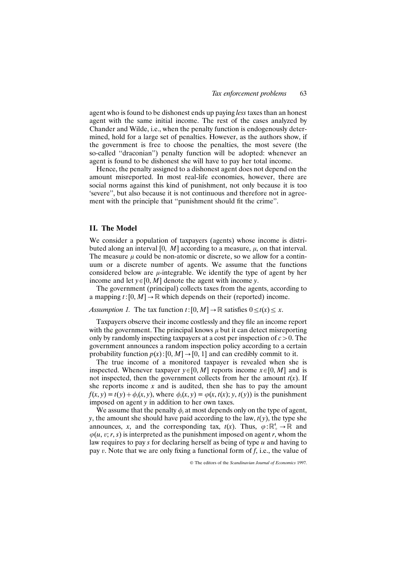agent who is found to be dishonest ends up paying *less* taxes than an honest agent with the same initial income. The rest of the cases analyzed by Chander and Wilde, i.e., when the penalty function is endogenously determined, hold for a large set of penalties. However, as the authors show, if the government is free to choose the penalties, the most severe (the so-called ''draconian'') penalty function will be adopted: whenever an agent is found to be dishonest she will have to pay her total income.

Hence, the penalty assigned to a dishonest agent does not depend on the amount misreported. In most real-life economies, however, there are social norms against this kind of punishment, not only because it is too 'severe'', but also because it is not continuous and therefore not in agreement with the principle that ''punishment should fit the crime''.

# **II. The Model**

We consider a population of taxpayers (agents) whose income is distributed along an interval  $[0, M]$  according to a measure,  $\mu$ , on that interval. The measure  $\mu$  could be non-atomic or discrete, so we allow for a continuum or a discrete number of agents. We assume that the functions considered below are  $\mu$ -integrable. We identify the type of agent by her income and let  $y \in [0, M]$  denote the agent with income *y*.

The government (principal) collects taxes from the agents, according to a mapping  $t:[0, M] \to \mathbb{R}$  which depends on their (reported) income.

#### *Assumption 1.* The tax function  $t:[0, M] \to \mathbb{R}$  satisfies  $0 \le t(x) \le x$ .

Taxpayers observe their income costlessly and they file an income report with the government. The principal knows  $\mu$  but it can detect misreporting only by randomly inspecting taxpayers at a cost per inspection of  $c > 0$ . The government announces a random inspection policy according to a certain probability function  $p(x):[0, M] \rightarrow [0, 1]$  and can credibly commit to it.

The true income of a monitored taxpayer is revealed when she is inspected. Whenever taxpayer  $y \in [0, M]$  reports income  $x \in [0, M]$  and is not inspected, then the government collects from her the amount  $t(x)$ . If she reports income  $x$  and is audited, then she has to pay the amount  $f(x, y) = t(y) + \phi_t(x, y)$ , where  $\phi_t(x, y) = \phi(x, t(x); y, t(y))$  is the punishment imposed on agent *y* in addition to her own taxes.

We assume that the penalty  $\phi$ , at most depends only on the type of agent, *y*, the amount she should have paid according to the law,  $t(y)$ , the type she announces, *x*, and the corresponding tax, *t*(*x*). Thus,  $\varphi : \mathbb{R}_+^4 \to \mathbb{R}$  and  $\varphi(u, v; r, s)$  is interpreted as the punishment imposed on agent *r*, whom the law requires to pay *s* for declaring herself as being of type *u* and having to pay *v*. Note that we are only fixing a functional form of *f*, i.e., the value of

<sup>©</sup> The editors of the *Scandinavian Journal of Economics* 1997.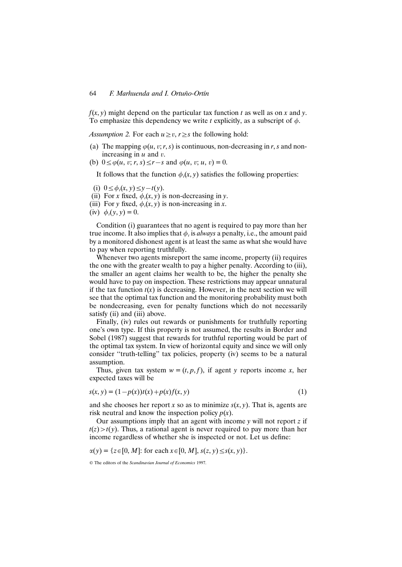$f(x, y)$  might depend on the particular tax function *t* as well as on *x* and *y*. To emphasize this dependency we write  $t$  explicitly, as a subscript of  $\phi$ .

*Assumption 2.* For each  $u \geq v, r \geq s$  the following hold:

- (a) The mapping  $\varphi(u, v; r, s)$  is continuous, non-decreasing in *r*, *s* and nonincreasing in *u* and *v*.
- (b)  $0 \le \varphi(u, v; r, s) \le r s$  and  $\varphi(u, v; u, v) = 0$ .

It follows that the function  $\phi_t(x, y)$  satisfies the following properties:

- (i)  $0 \le \phi_t(x, y) \le y t(y)$ .
- (ii) For *x* fixed,  $\phi_i(x, y)$  is non-decreasing in *y*.
- (iii) For *y* fixed,  $\phi_i(x, y)$  is non-increasing in *x*.
- $(iv) \phi_t(y, y) = 0.$

Condition (i) guarantees that no agent is required to pay more than her true income. It also implies that  $\phi$ , is *always* a penalty, i.e., the amount paid by a monitored dishonest agent is at least the same as what she would have to pay when reporting truthfully.

Whenever two agents misreport the same income, property (ii) requires the one with the greater wealth to pay a higher penalty. According to (iii), the smaller an agent claims her wealth to be, the higher the penalty she would have to pay on inspection. These restrictions may appear unnatural if the tax function  $t(x)$  is decreasing. However, in the next section we will see that the optimal tax function and the monitoring probability must both be nondecreasing, even for penalty functions which do not necessarily satisfy (ii) and (iii) above.

Finally, (iv) rules out rewards or punishments for truthfully reporting one's own type. If this property is not assumed, the results in Border and Sobel (1987) suggest that rewards for truthful reporting would be part of the optimal tax system. In view of horizontal equity and since we will only consider ''truth-telling'' tax policies, property (iv) seems to be a natural assumption.

Thus, given tax system  $w = (t, p, f)$ , if agent *y* reports income *x*, her expected taxes will be

$$
s(x, y) = (1 - p(x))t(x) + p(x)f(x, y)
$$
\n(1)

and she chooses her report *x* so as to minimize  $s(x, y)$ . That is, agents are risk neutral and know the inspection policy  $p(x)$ .

Our assumptions imply that an agent with income *y* will not report *z* if  $t(z) > t(y)$ . Thus, a rational agent is never required to pay more than her income regardless of whether she is inspected or not. Let us define:

 $\alpha(y) = \{z \in [0, M]: \text{for each } x \in [0, M], s(z, y) \leq s(x, y)\}.$ 

<sup>©</sup> The editors of the *Scandinavian Journal of Economics* 1997.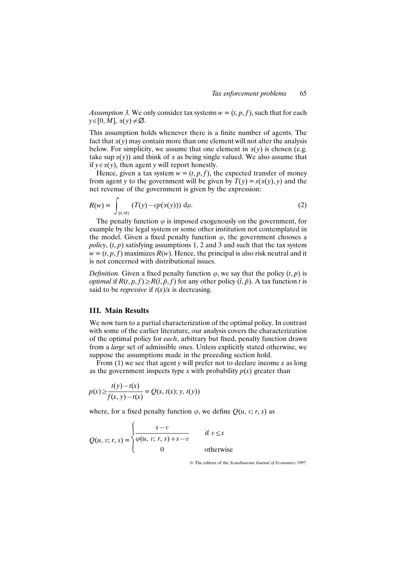*Assumption 3.* We only consider tax systems  $w = (t, p, f)$ , such that for each  $y \in [0, M]$ ,  $\alpha(y) \neq \emptyset$ .

This assumption holds whenever there is a finite number of agents. The fact that  $\alpha(y)$  may contain more than one element will not alter the analysis below. For simplicity, we assume that one element in  $\alpha(y)$  is chosen (e.g. take sup  $\alpha(y)$ ) and think of  $\alpha$  as being single valued. We also assume that if  $y \in \alpha(y)$ , then agent *y* will report honestly.

Hence, given a tax system  $w = (t, p, f)$ , the expected transfer of money from agent *y* to the government will be given by  $T(y) = s(\alpha(y), y)$  and the net revenue of the government is given by the expression:

$$
R(w) = \int_{[0,M]} (T(y) - cp(\alpha(y))) d\mu.
$$
 (2)

The penalty function  $\varphi$  is imposed exogenously on the government, for example by the legal system or some other institution not contemplated in the model. Given a fixed penalty function  $\varphi$ , the government chooses a *policy*,  $(t, p)$  satisfying assumptions 1, 2 and 3 and such that the tax system  $w = (t, p, f)$  maximizes  $R(w)$ . Hence, the principal is also risk neutral and it is not concerned with distributional issues.

*Definition.* Given a fixed penalty function  $\varphi$ , we say that the policy  $(t, p)$  is *optimal* if  $R(t, p, f) \geq R(\bar{t}, \bar{p}, f)$  for any other policy  $(\bar{t}, \bar{p})$ . A tax function *t* is said to be *regressive* if  $t(x)/x$  is decreasing.

# **III. Main Results**

We now turn to a partial characterization of the optimal policy. In contrast with some of the earlier literature, our analysis covers the characterization of the optimal policy for *each*, arbitrary but fixed, penalty function drawn from a *large* set of admissible ones. Unless explicitly stated otherwise, we suppose the assumptions made in the preceding section hold.

From (1) we see that agent *y* will prefer not to declare income *x* as long as the government inspects type *x* with probability  $p(x)$  greater than

$$
p(x) \ge \frac{t(y) - t(x)}{f(x, y) - t(x)} = Q(x, t(x); y, t(y))
$$

where, for a fixed penalty function  $\varphi$ , we define  $Q(u, v; r, s)$  as

$$
Q(u, v; r, s) = \begin{cases} \frac{s - v}{\varphi(u, v; r, s) + s - v} & \text{if } v \leq s \\ 0 & \text{otherwise} \end{cases}
$$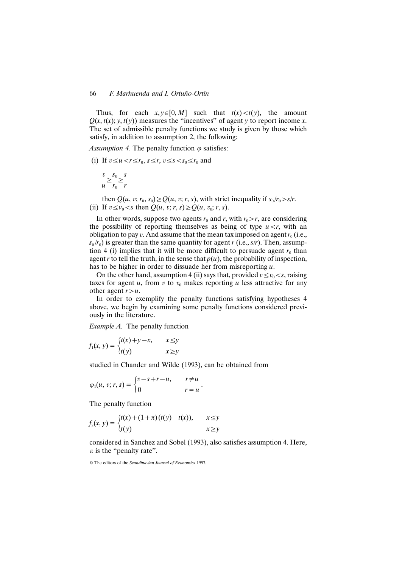Thus, for each  $x, y \in [0, M]$  such that  $t(x) < t(y)$ , the amount  $Q(x, t(x); y, t(y))$  measures the "incentives" of agent *y* to report income *x*. The set of admissible penalty functions we study is given by those which satisfy, in addition to assumption 2, the following:

*Assumption 4.* The penalty function  $\varphi$  satisfies:

- (i) If  $v \le u < r \le r_0$ ,  $s \le r$ ,  $v \le s < s_0 \le r_0$  and
	- *v u*  $\geq \frac{s_0}{s}$ *r*0  $\geq$ *s r*

then  $Q(u, v; r_0, s_0) \ge Q(u, v; r, s)$ , with strict inequality if  $s_0 / r_0 > s/r$ . (ii) If  $v \le v_0$  is then  $Q(u, v; r, s) \ge Q(u, v_0; r, s)$ .

In other words, suppose two agents  $r_0$  and r, with  $r_0 > r$ , are considering the possibility of reporting themselves as being of type  $u < r$ , with an obligation to pay *v*. And assume that the mean tax imposed on agent  $r_0$  (i.e.,  $s_0 / r_0$ ) is greater than the same quantity for agent *r* (i.e., *s*/*r*). Then, assumption 4 (i) implies that it will be more difficult to persuade agent  $r_0$  than agent *r* to tell the truth, in the sense that  $p(u)$ , the probability of inspection, has to be higher in order to dissuade her from misreporting *u*.

On the other hand, assumption 4 (ii) says that, provided  $v \le v_0 < s$ , raising taxes for agent  $u$ , from  $v$  to  $v_0$  makes reporting  $u$  less attractive for any other agent  $r > u$ .

In order to exemplify the penalty functions satisfying hypotheses 4 above, we begin by examining some penalty functions considered previously in the literature.

*Example A.* The penalty function

$$
f_1(x, y) = \begin{cases} t(x) + y - x, & x \le y \\ t(y) & x \ge y \end{cases}
$$

studied in Chander and Wilde (1993), can be obtained from

$$
\varphi_1(u, v; r, s) = \begin{cases} v - s + r - u, & r \neq u \\ 0 & r = u \end{cases}
$$

The penalty function

$$
f_2(x, y) = \begin{cases} t(x) + (1 + \pi) (t(y) - t(x)), & x \le y \\ t(y) & x \ge y \end{cases}
$$

considered in Sanchez and Sobel (1993), also satisfies assumption 4. Here,  $\pi$  is the "penalty rate".

.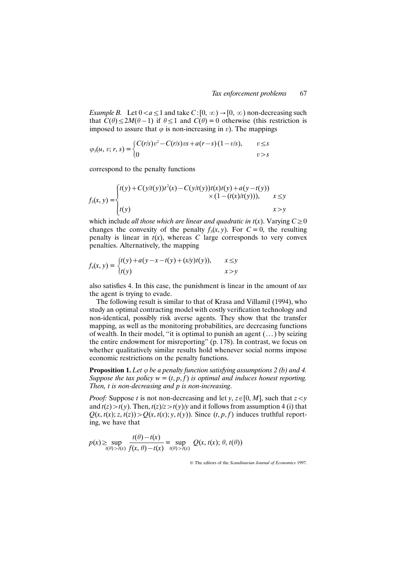*Example B.* Let  $0 < a \le 1$  and take  $C:[0, \infty) \rightarrow [0, \infty)$  non-decreasing such that  $C(\theta) \le 2M(\theta-1)$  if  $\theta \le 1$  and  $C(\theta) = 0$  otherwise (this restriction is imposed to assure that  $\varphi$  is non-increasing in *v*). The mappings

$$
\varphi_3(u, v; r, s) = \begin{cases} C(r/s) v^2 - C(r/s) v s + a(r - s) (1 - v/s), & v \le s \\ 0 & v > s \end{cases}
$$

correspond to the penalty functions

$$
f_3(x, y) = \begin{cases} t(y) + C(y/t(y))t^2(x) - C(y/t(y))t(x)t(y) + a(y-t(y)) \\ x(1 - (t(x)/t(y))), & x \le y \\ t(y) & x > y \end{cases}
$$

which include *all those which are linear and quadratic in*  $t(x)$ *.* Varying  $C \ge 0$ changes the convexity of the penalty  $f_3(x, y)$ . For  $C = 0$ , the resulting penalty is linear in  $t(x)$ , whereas *C* large corresponds to very convex penalties. Alternatively, the mapping

$$
f_4(x, y) = \begin{cases} t(y) + a(y - x - t(y) + (x/y)t(y)), & x \le y \\ t(y) & x > y \end{cases}
$$

also satisfies 4. In this case, the punishment is linear in the amount of *tax* the agent is trying to evade.

The following result is similar to that of Krasa and Villamil (1994), who study an optimal contracting model with costly verification technology and non-identical, possibly risk averse agents. They show that the transfer mapping, as well as the monitoring probabilities, are decreasing functions of wealth. In their model, ''it is optimal to punish an agent (...) by seizing the entire endowment for misreporting'' (p. 178). In contrast, we focus on whether qualitatively similar results hold whenever social norms impose economic restrictions on the penalty functions.

**Proposition 1.** Let  $\varphi$  be a penalty function satisfying assumptions 2 (b) and 4. *Suppose the tax policy*  $w = (t, p, f)$  *is optimal and induces honest reporting. Then, t is non-decreasing and p is non-increasing*.

*Proof:* Suppose *t* is not non-decreasing and let *y*,  $z \in [0, M]$ , such that  $z \lt y$ and  $t(z) > t(y)$ . Then,  $t(z)/z > t(y)/y$  and it follows from assumption 4 (i) that  $Q(x, t(x); z, t(z)) > Q(x, t(x); y, t(y))$ . Since  $(t, p, f)$  induces truthful reporting, we have that

$$
p(x) \ge \sup_{t(\theta) > t(x)} \frac{t(\theta) - t(x)}{f(x, \theta) - t(x)} = \sup_{t(\theta) > t(x)} Q(x, t(x); \theta, t(\theta))
$$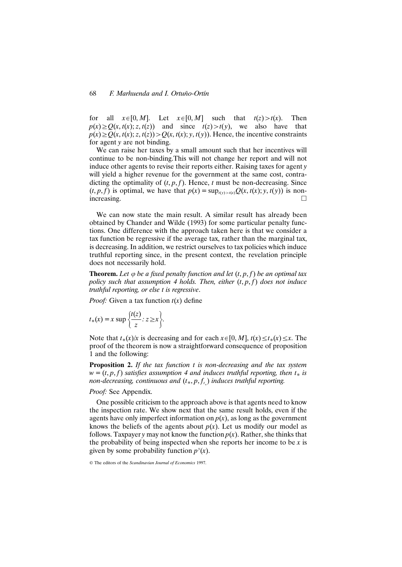for all  $x \in [0, M]$ . Let  $x \in [0, M]$  such that  $t(z) > t(x)$ . Then  $p(x) \ge Q(x, t(x); z, t(z))$  and since  $t(z) > t(y)$ , we also have that  $p(x) \ge Q(x, t(x); z, t(z)) > Q(x, t(x); y, t(y))$ . Hence, the incentive constraints for agent *y* are not binding.

We can raise her taxes by a small amount such that her incentives will continue to be non-binding.This will not change her report and will not induce other agents to revise their reports either. Raising taxes for agent *y* will yield a higher revenue for the government at the same cost, contradicting the optimality of  $(t, p, f)$ . Hence,  $t$  must be non-decreasing. Since  $(t, p, f)$  is optimal, we have that  $p(x) = \sup_{t(y) > t(x)} Q(x, t(x); y, t(y))$  is nonincreasing.  $\Box$ 

We can now state the main result. A similar result has already been obtained by Chander and Wilde (1993) for some particular penalty functions. One difference with the approach taken here is that we consider a tax function be regressive if the average tax, rather than the marginal tax, is decreasing. In addition, we restrict ourselves to tax policies which induce truthful reporting since, in the present context, the revelation principle does not necessarily hold.

**Theorem.** Let  $\varphi$  *be a fixed penalty function and let*  $(t, p, f)$  *be an optimal tax policy such that assumption 4 holds. Then, either*  $(t, p, f)$  *does not induce truthful reporting, or else t is regressive*.

*Proof:* Given a tax function  $t(x)$  define

$$
t_*(x) = x \sup \left\{ \frac{t(z)}{z} : z \geq x \right\}.
$$

Note that  $t_*(x)/x$  is decreasing and for each  $x \in [0, M]$ ,  $t(x) \le t_*(x) \le x$ . The proof of the theorem is now a straightforward consequence of proposition 1 and the following:

**Proposition 2.** *If the tax function t is non-decreasing and the tax system*  $w = (t, p, f)$  *satisfies assumption 4 and induces truthful reporting, then*  $t_*$  *is non-decreasing, continuous and* (*t* \*, *<sup>p</sup>*, *ft* ) *induces truthful reporting.* \*

#### *Proof:* See Appendix.

One possible criticism to the approach above is that agents need to know the inspection rate. We show next that the same result holds, even if the agents have only imperfect information on  $p(x)$ , as long as the government knows the beliefs of the agents about  $p(x)$ . Let us modify our model as follows. Taxpayer *y* may not know the function  $p(x)$ . Rather, she thinks that the probability of being inspected when she reports her income to be  $x$  is given by some probability function  $p^y(x)$ .

<sup>©</sup> The editors of the *Scandinavian Journal of Economics* 1997.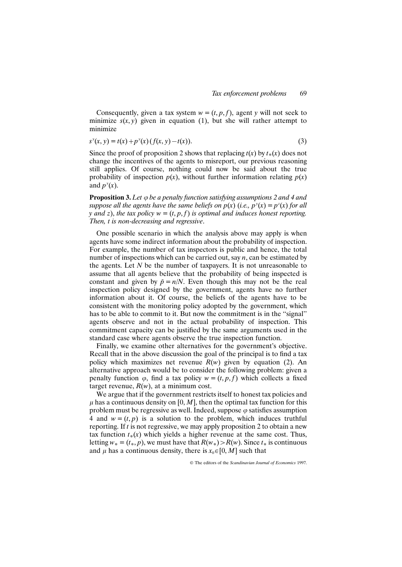Consequently, given a tax system  $w = (t, p, f)$ , agent *y* will not seek to minimize  $s(x, y)$  given in equation (1), but she will rather attempt to minimize

$$
s^{y}(x, y) = t(x) + p^{y}(x) (f(x, y) - t(x)).
$$
\n(3)

Since the proof of proposition 2 shows that replacing  $t(x)$  by  $t_*(x)$  does not change the incentives of the agents to misreport, our previous reasoning still applies. Of course, nothing could now be said about the true probability of inspection  $p(x)$ , without further information relating  $p(x)$ and  $p^{y}(x)$ .

**Proposition 3.** Let  $\varphi$  be a penalty function satisfying assumptions 2 and 4 and *suppose all the agents have the same beliefs on*  $p(x)$  *(i.e.,*  $p^y(x) = p^z(x)$  *for all y* and *z*), the tax policy  $w = (t, p, f)$  is optimal and induces honest reporting. *Then, t is non-decreasing and regressive*.

One possible scenario in which the analysis above may apply is when agents have some indirect information about the probability of inspection. For example, the number of tax inspectors is public and hence, the total number of inspections which can be carried out, say *n*, can be estimated by the agents. Let *N* be the number of taxpayers. It is not unreasonable to assume that all agents believe that the probability of being inspected is constant and given by  $\bar{p} = n/N$ . Even though this may not be the real inspection policy designed by the government, agents have no further information about it. Of course, the beliefs of the agents have to be consistent with the monitoring policy adopted by the government, which has to be able to commit to it. But now the commitment is in the "signal" agents observe and not in the actual probability of inspection. This commitment capacity can be justified by the same arguments used in the standard case where agents observe the true inspection function.

Finally, we examine other alternatives for the government's objective. Recall that in the above discussion the goal of the principal is to find a tax policy which maximizes net revenue *R*(*w*) given by equation (2). An alternative approach would be to consider the following problem: given a penalty function  $\varphi$ , find a tax policy  $w = (t, p, f)$  which collects a fixed target revenue,  $R(w)$ , at a minimum cost.

We argue that if the government restricts itself to honest tax policies and  $\mu$  has a continuous density on [0, M], then the optimal tax function for this problem must be regressive as well. Indeed, suppose  $\varphi$  satisfies assumption 4 and  $w = (t, p)$  is a solution to the problem, which induces truthful reporting. If *t* is not regressive, we may apply proposition 2 to obtain a new tax function  $t_*(x)$  which yields a higher revenue at the same cost. Thus, letting  $w_* = (t_*, p)$ , we must have that  $R(w_*) > R(w)$ . Since  $t_*$  is continuous and  $\mu$  has a continuous density, there is  $x_0 \in [0, M]$  such that

<sup>©</sup> The editors of the *Scandinavian Journal of Economics* 1997.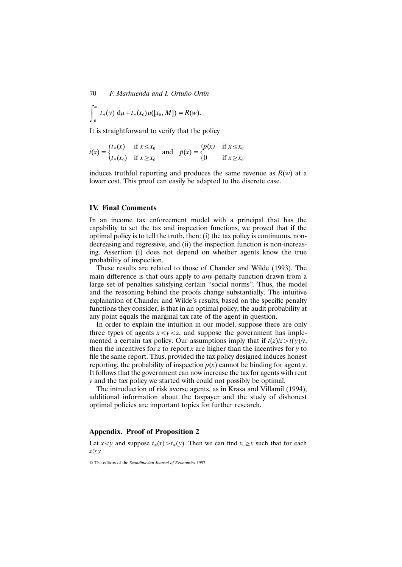$$
\int_0^{x_0} t_*(y) d\mu + t_*(x_0) \mu([x_0, M]) = R(w).
$$

It is straightforward to verify that the policy

$$
\bar{t}(x) = \begin{cases} t_*(x) & \text{if } x \le x_0 \\ t_*(x_0) & \text{if } x \ge x_0 \end{cases} \text{ and } \bar{p}(x) = \begin{cases} p(x) & \text{if } x \le x_0 \\ 0 & \text{if } x \ge x_0 \end{cases}
$$

induces truthful reporting and produces the same revenue as  $R(w)$  at a lower cost. This proof can easily be adapted to the discrete case.

#### **IV. Final Comments**

In an income tax enforcement model with a principal that has the capability to set the tax and inspection functions, we proved that if the optimal policy is to tell the truth, then: (i) the tax policy is continuous, nondecreasing and regressive, and (ii) the inspection function is non-increasing. Assertion (i) does not depend on whether agents know the true probability of inspection.

These results are related to those of Chander and Wilde (1993). The main difference is that ours apply to *any* penalty function drawn from a large set of penalties satisfying certain ''social norms''. Thus, the model and the reasoning behind the proofs change substantially. The intuitive explanation of Chander and Wilde's results, based on the specific penalty functions they consider, is that in an optimal policy, the audit probability at any point equals the marginal tax rate of the agent in question.

In order to explain the intuition in our model, suppose there are only three types of agents  $x < y < z$ , and suppose the government has implemented a certain tax policy. Our assumptions imply that if  $t(z)/z > t(y)/y$ , then the incentives for  $z$  to report  $x$  are higher than the incentives for  $y$  to file the same report. Thus, provided the tax policy designed induces honest reporting, the probability of inspection  $p(x)$  cannot be binding for agent *y*. It follows that the government can now increase the tax for agents with rent *y* and the tax policy we started with could not possibly be optimal.

The introduction of risk averse agents, as in Krasa and Villamil (1994), additional information about the taxpayer and the study of dishonest optimal policies are important topics for further research.

#### **Appendix. Proof of Proposition 2**

Let *x* < *y* and suppose  $t_*(x) > t_*(y)$ . Then we can find  $x_0 \ge x$  such that for each  $z \geq y$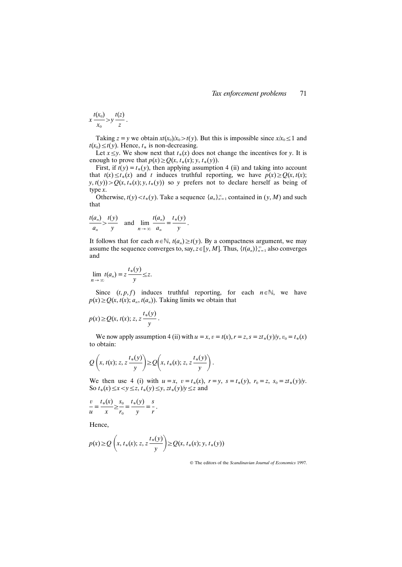$$
x\frac{t(x_0)}{x_0} > y\frac{t(z)}{z}.
$$

Taking  $z = y$  we obtain  $xt(x_0)/x_0 > t(y)$ . But this is impossible since  $x/x_0 \le 1$  and  $t(x_0) \le t(y)$ . Hence,  $t_*$  is non-decreasing.

Let  $x \leq y$ . We show next that  $t_*(x)$  does not change the incentives for *y*. It is enough to prove that  $p(x) \ge Q(x, t_*(x); y, t_*(y))$ .

First, if  $t(y) = t_*(y)$ , then applying assumption 4 (ii) and taking into account that  $t(x) \le t_*(x)$  and *t* induces truthful reporting, we have  $p(x) \ge Q(x, t(x))$ ;  $y$ ,  $t(y) > Q(x, t_*(x); y, t_*(y))$  so *y* prefers not to declare herself as being of type *x*.

Otherwise,  $t(y) < t_*(y)$ . Take a sequence  $\{a_n\}_{n=1}^{\infty}$  contained in  $(y, M)$  and such that

$$
\frac{t(a_n)}{a_n} > \frac{t(y)}{y} \quad \text{and} \quad \lim_{n \to \infty} \frac{t(a_n)}{a_n} = \frac{t_*(y)}{y}.
$$

It follows that for each  $n \in \mathbb{N}$ ,  $t(a_n) \geq t(y)$ . By a compactness argument, we may assume the sequence converges to, say,  $z \in [y, M]$ . Thus,  $\{t(a_n)\}_{n=1}^{\infty}$  also converges and

$$
\lim_{n\to\infty}t(a_n)=z\frac{t_*(y)}{y}\leq z.
$$

Since  $(t, p, f)$  induces truthful reporting, for each  $n \in \mathbb{N}$ , we have  $p(x) \ge Q(x, t(x); a_n, t(a_n))$ . Taking limits we obtain that

$$
p(x) \ge Q(x, t(x); z, z \frac{t_*(y)}{y}.
$$

We now apply assumption 4 (ii) with  $u = x$ ,  $v = t(x)$ ,  $r = z$ ,  $s = zt_*(y)/y$ ,  $v_0 = t_*(x)$ to obtain:

$$
Q\left(x, t(x); z, z\frac{t_*(y)}{y}\right) \ge Q\left(x, t_*(x); z, z\frac{t_*(y)}{y}\right).
$$

We then use 4 (i) with  $u = x$ ,  $v = t_*(x)$ ,  $r = y$ ,  $s = t_*(y)$ ,  $r_0 = z$ ,  $s_0 = zt_*(y)/y$ . So  $t_*(x) \le x < y \le z$ ,  $t_*(y) \le y$ ,  $zt_*(y)/y \le z$  and

$$
\frac{v}{u} = \frac{t_*(x)}{x} \ge \frac{s_0}{r_0} = \frac{t_*(y)}{y} = \frac{s}{r}.
$$

Hence,

$$
p(x) \ge Q\left(x, t_*(x); z, z^{\frac{t_*(y)}{y}}\right) \ge Q(x, t_*(x); y, t_*(y))
$$